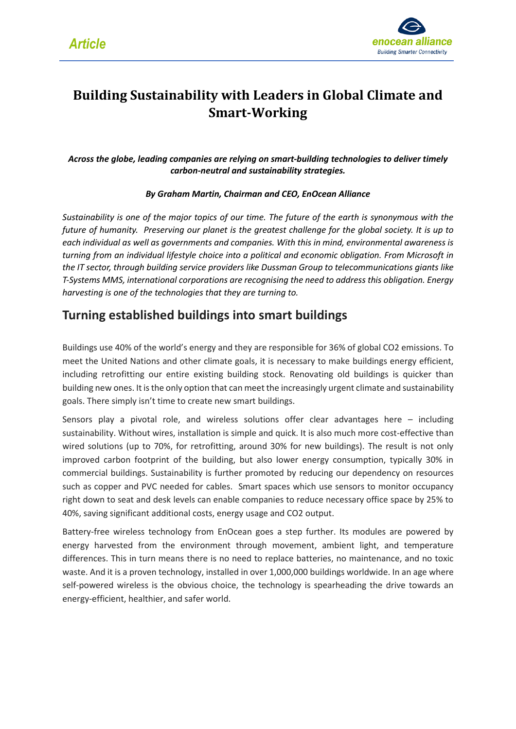

## **Building Sustainability with Leaders in Global Climate and Smart-Working**

*Across the globe, leading companies are relying on smart-building technologies to deliver timely carbon-neutral and sustainability strategies.*

#### *By Graham Martin, Chairman and CEO, EnOcean Alliance*

*Sustainability is one of the major topics of our time. The future of the earth is synonymous with the future of humanity. Preserving our planet is the greatest challenge for the global society. It is up to each individual as well as governments and companies. With this in mind, environmental awareness is turning from an individual lifestyle choice into a political and economic obligation. From Microsoft in the IT sector, through building service providers like Dussman Group to telecommunications giants like T-Systems MMS, international corporations are recognising the need to address this obligation. Energy harvesting is one of the technologies that they are turning to.*

#### **Turning established buildings into smart buildings**

Buildings use 40% of the world's energy and they are responsible for 36% of global CO2 emissions. To meet the United Nations and other climate goals, it is necessary to make buildings energy efficient, including retrofitting our entire existing building stock. Renovating old buildings is quicker than building new ones. It is the only option that can meet the increasingly urgent climate and sustainability goals. There simply isn't time to create new smart buildings.

Sensors play a pivotal role, and wireless solutions offer clear advantages here – including sustainability. Without wires, installation is simple and quick. It is also much more cost-effective than wired solutions (up to 70%, for retrofitting, around 30% for new buildings). The result is not only improved carbon footprint of the building, but also lower energy consumption, typically 30% in commercial buildings. Sustainability is further promoted by reducing our dependency on resources such as copper and PVC needed for cables. Smart spaces which use sensors to monitor occupancy right down to seat and desk levels can enable companies to reduce necessary office space by 25% to 40%, saving significant additional costs, energy usage and CO2 output.

Battery-free wireless technology from EnOcean goes a step further. Its modules are powered by energy harvested from the environment through movement, ambient light, and temperature differences. This in turn means there is no need to replace batteries, no maintenance, and no toxic waste. And it is a proven technology, installed in over 1,000,000 buildings worldwide. In an age where self-powered wireless is the obvious choice, the technology is spearheading the drive towards an energy-efficient, healthier, and safer world.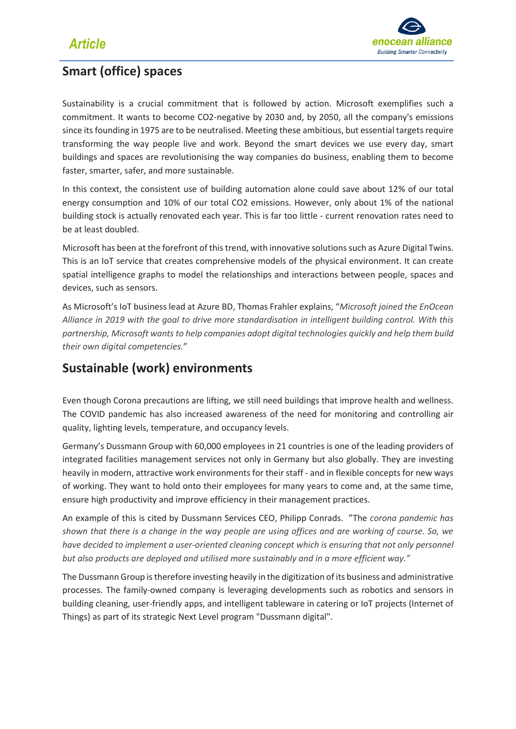

### **Smart (office) spaces**

Sustainability is a crucial commitment that is followed by action. Microsoft exemplifies such a commitment. It wants to become CO2-negative by 2030 and, by 2050, all the company's emissions since its founding in 1975 are to be neutralised. Meeting these ambitious, but essential targets require transforming the way people live and work. Beyond the smart devices we use every day, smart buildings and spaces are revolutionising the way companies do business, enabling them to become faster, smarter, safer, and more sustainable.

In this context, the consistent use of building automation alone could save about 12% of our total energy consumption and 10% of our total CO2 emissions. However, only about 1% of the national building stock is actually renovated each year. This is far too little - current renovation rates need to be at least doubled.

Microsoft has been at the forefront of this trend, with innovative solutions such as Azure Digital Twins. This is an IoT service that creates comprehensive models of the physical environment. It can create spatial intelligence graphs to model the relationships and interactions between people, spaces and devices, such as sensors.

As Microsoft's IoT business lead at Azure BD, Thomas Frahler explains, "*Microsoft joined the EnOcean Alliance in 2019 with the goal to drive more standardisation in intelligent building control. With this partnership, Microsoft wants to help companies adopt digital technologies quickly and help them build their own digital competencies.*"

#### **Sustainable (work) environments**

Even though Corona precautions are lifting, we still need buildings that improve health and wellness. The COVID pandemic has also increased awareness of the need for monitoring and controlling air quality, lighting levels, temperature, and occupancy levels.

Germany's Dussmann Group with 60,000 employees in 21 countries is one of the leading providers of integrated facilities management services not only in Germany but also globally. They are investing heavily in modern, attractive work environments for their staff - and in flexible concepts for new ways of working. They want to hold onto their employees for many years to come and, at the same time, ensure high productivity and improve efficiency in their management practices.

An example of this is cited by Dussmann Services CEO, Philipp Conrads. "The *corona pandemic has shown that there is a change in the way people are using offices and are working of course. So, we have decided to implement a user-oriented cleaning concept which is ensuring that not only personnel but also products are deployed and utilised more sustainably and in a more efficient way."*

The Dussmann Group is therefore investing heavily in the digitization of its business and administrative processes. The family-owned company is leveraging developments such as robotics and sensors in building cleaning, user-friendly apps, and intelligent tableware in catering or IoT projects (Internet of Things) as part of its strategic Next Level program "Dussmann digital".